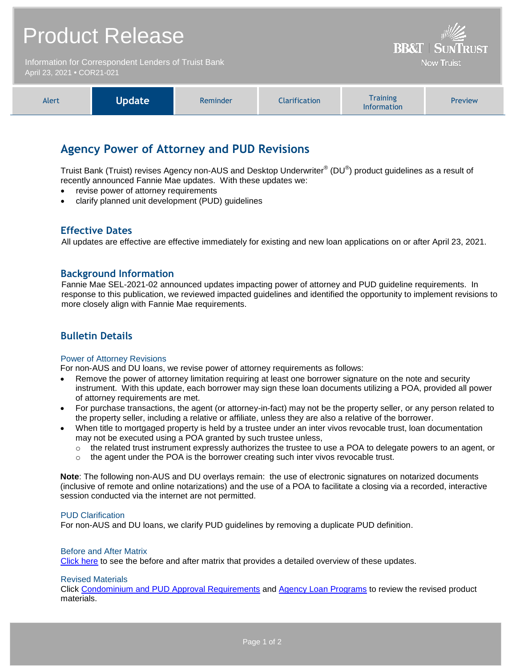# Product Release

Information for Correspondent Lenders of Truist Bank April 23, 2021 **•** COR21-021

| Update <sup>1</sup><br>Alert | Reminder | Iarification | <b>Training</b><br><b>Information</b> | Preview |
|------------------------------|----------|--------------|---------------------------------------|---------|
|------------------------------|----------|--------------|---------------------------------------|---------|

**BB&T | SUNTRUST Now Truist** 

## **Agency Power of Attorney and PUD Revisions**

Truist Bank (Truist) revises Agency non-AUS and Desktop Underwriter® (DU®) product guidelines as a result of recently announced Fannie Mae updates. With these updates we:

- revise power of attorney requirements
- clarify planned unit development (PUD) guidelines

## **Effective Dates**

All updates are effective are effective immediately for existing and new loan applications on or after April 23, 2021.

### **Background Information**

Fannie Mae SEL-2021-02 announced updates impacting power of attorney and PUD guideline requirements. In response to this publication, we reviewed impacted guidelines and identified the opportunity to implement revisions to more closely align with Fannie Mae requirements.

## **Bulletin Details**

#### Power of Attorney Revisions

For non-AUS and DU loans, we revise power of attorney requirements as follows:

- Remove the power of attorney limitation requiring at least one borrower signature on the note and security instrument. With this update, each borrower may sign these loan documents utilizing a POA, provided all power of attorney requirements are met.
- For purchase transactions, the agent (or attorney-in-fact) may not be the property seller, or any person related to the property seller, including a relative or affiliate, unless they are also a relative of the borrower.
- When title to mortgaged property is held by a trustee under an inter vivos revocable trust, loan documentation may not be executed using a POA granted by such trustee unless,
	- o the related trust instrument expressly authorizes the trustee to use a POA to delegate powers to an agent, or
	- $\circ$  the agent under the POA is the borrower creating such inter vivos revocable trust.

**Note**: The following non-AUS and DU overlays remain: the use of electronic signatures on notarized documents (inclusive of remote and online notarizations) and the use of a POA to facilitate a closing via a recorded, interactive session conducted via the internet are not permitted.

#### PUD Clarification

For non-AUS and DU loans, we clarify PUD guidelines by removing a duplicate PUD definition.

#### Before and After Matrix

[Click here](http://www.truistsellerguide.com/manual/cor/products/Cr21-021BA.pdf) to see the before and after matrix that provides a detailed overview of these updates.

#### Revised Materials

Click [Condominium and PUD Approval Requirements](https://www.truistsellerguide.com/Manual/cor/general/1.06CondoPUD.pdf) and [Agency Loan Programs](https://www.truistsellerguide.com/manual/cor/products/CAgency.pdf) to review the revised product materials.